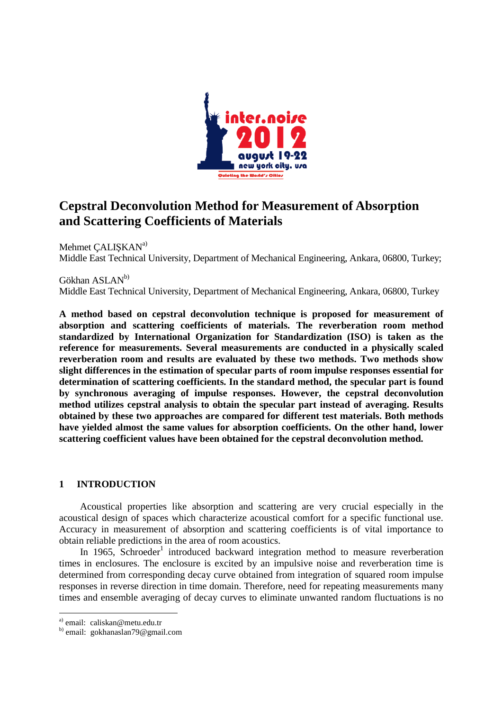

# **Cepstral Deconvolution Method for Measurement of Absorption and Scattering Coefficients of Materials**

Mehmet CALISKAN<sup>a)</sup> Middle East Technical University, Department of Mechanical Engineering, Ankara, 06800, Turkey;

Gökhan ASLAN<sup>b)</sup> Middle East Technical University, Department of Mechanical Engineering, Ankara, 06800, Turkey

**A method based on cepstral deconvolution technique is proposed for measurement of absorption and scattering coefficients of materials. The reverberation room method standardized by International Organization for Standardization (ISO) is taken as the reference for measurements. Several measurements are conducted in a physically scaled reverberation room and results are evaluated by these two methods. Two methods show slight differences in the estimation of specular parts of room impulse responses essential for determination of scattering coefficients. In the standard method, the specular part is found by synchronous averaging of impulse responses. However, the cepstral deconvolution method utilizes cepstral analysis to obtain the specular part instead of averaging. Results obtained by these two approaches are compared for different test materials. Both methods have yielded almost the same values for absorption coefficients. On the other hand, lower scattering coefficient values have been obtained for the cepstral deconvolution method.** 

# **1 INTRODUCTION**

 Acoustical properties like absorption and scattering are very crucial especially in the acoustical design of spaces which characterize acoustical comfort for a specific functional use. Accuracy in measurement of absorption and scattering coefficients is of vital importance to obtain reliable predictions in the area of room acoustics.

In 1965, Schroeder<sup>1</sup> introduced backward integration method to measure reverberation times in enclosures. The enclosure is excited by an impulsive noise and reverberation time is determined from corresponding decay curve obtained from integration of squared room impulse responses in reverse direction in time domain. Therefore, need for repeating measurements many times and ensemble averaging of decay curves to eliminate unwanted random fluctuations is no

-

a) email: caliskan@metu.edu.tr

b) email: gokhanaslan79@gmail.com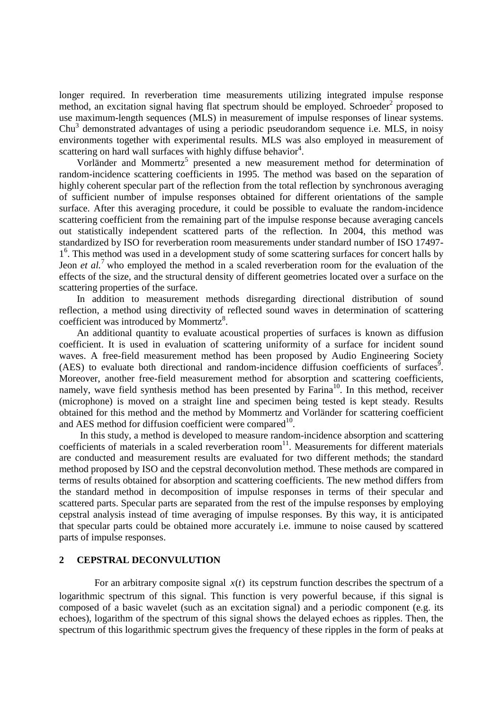longer required. In reverberation time measurements utilizing integrated impulse response method, an excitation signal having flat spectrum should be employed. Schroeder<sup>2</sup> proposed to use maximum-length sequences (MLS) in measurement of impulse responses of linear systems. Chu<sup>3</sup> demonstrated advantages of using a periodic pseudorandom sequence i.e. MLS, in noisy environments together with experimental results. MLS was also employed in measurement of scattering on hard wall surfaces with highly diffuse behavior<sup>4</sup>.

Vorländer and Mommertz<sup>5</sup> presented a new measurement method for determination of random-incidence scattering coefficients in 1995. The method was based on the separation of highly coherent specular part of the reflection from the total reflection by synchronous averaging of sufficient number of impulse responses obtained for different orientations of the sample surface. After this averaging procedure, it could be possible to evaluate the random-incidence scattering coefficient from the remaining part of the impulse response because averaging cancels out statistically independent scattered parts of the reflection. In 2004, this method was standardized by ISO for reverberation room measurements under standard number of ISO 17497- 1<sup>6</sup>. This method was used in a development study of some scattering surfaces for concert halls by Jeon *et al.*<sup>7</sup>who employed the method in a scaled reverberation room for the evaluation of the effects of the size, and the structural density of different geometries located over a surface on the scattering properties of the surface.

In addition to measurement methods disregarding directional distribution of sound reflection, a method using directivity of reflected sound waves in determination of scattering coefficient was introduced by Mommertz<sup>8</sup>.

An additional quantity to evaluate acoustical properties of surfaces is known as diffusion coefficient. It is used in evaluation of scattering uniformity of a surface for incident sound waves. A free-field measurement method has been proposed by Audio Engineering Society  $(AES)$  to evaluate both directional and random-incidence diffusion coefficients of surfaces<sup>9</sup>. Moreover, another free-field measurement method for absorption and scattering coefficients, namely, wave field synthesis method has been presented by  $\text{Farina}^{10}$ . In this method, receiver (microphone) is moved on a straight line and specimen being tested is kept steady. Results obtained for this method and the method by Mommertz and Vorländer for scattering coefficient and AES method for diffusion coefficient were compared $10$ .

 In this study, a method is developed to measure random-incidence absorption and scattering coefficients of materials in a scaled reverberation room<sup>11</sup>. Measurements for different materials are conducted and measurement results are evaluated for two different methods; the standard method proposed by ISO and the cepstral deconvolution method. These methods are compared in terms of results obtained for absorption and scattering coefficients. The new method differs from the standard method in decomposition of impulse responses in terms of their specular and scattered parts. Specular parts are separated from the rest of the impulse responses by employing cepstral analysis instead of time averaging of impulse responses. By this way, it is anticipated that specular parts could be obtained more accurately i.e. immune to noise caused by scattered parts of impulse responses.

# **2 CEPSTRAL DECONVULUTION**

For an arbitrary composite signal  $x(t)$  its cepstrum function describes the spectrum of a logarithmic spectrum of this signal. This function is very powerful because, if this signal is composed of a basic wavelet (such as an excitation signal) and a periodic component (e.g. its echoes), logarithm of the spectrum of this signal shows the delayed echoes as ripples. Then, the spectrum of this logarithmic spectrum gives the frequency of these ripples in the form of peaks at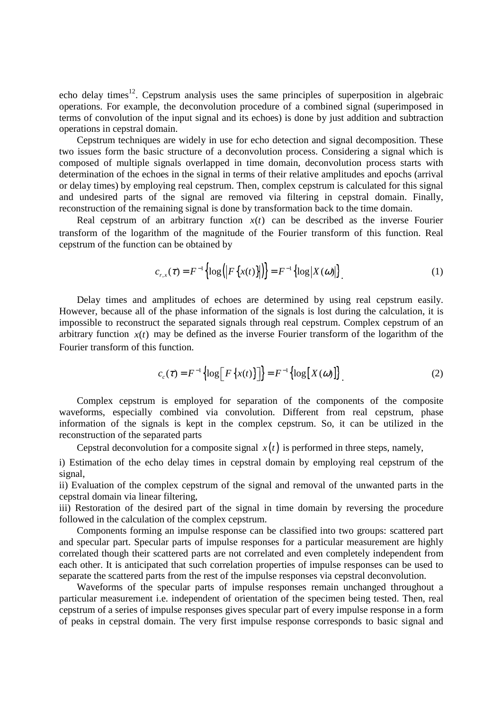echo delay times<sup>12</sup>. Cepstrum analysis uses the same principles of superposition in algebraic operations. For example, the deconvolution procedure of a combined signal (superimposed in terms of convolution of the input signal and its echoes) is done by just addition and subtraction operations in cepstral domain.

Cepstrum techniques are widely in use for echo detection and signal decomposition. These two issues form the basic structure of a deconvolution process. Considering a signal which is composed of multiple signals overlapped in time domain, deconvolution process starts with determination of the echoes in the signal in terms of their relative amplitudes and epochs (arrival or delay times) by employing real cepstrum. Then, complex cepstrum is calculated for this signal and undesired parts of the signal are removed via filtering in cepstral domain. Finally, reconstruction of the remaining signal is done by transformation back to the time domain.

Real cepstrum of an arbitrary function  $x(t)$  can be described as the inverse Fourier transform of the logarithm of the magnitude of the Fourier transform of this function. Real cepstrum of the function can be obtained by

$$
c_{r,x}(\tau) = F^{-1}\left\{ \log \left( \left| F\left\{ x(t) \right\} \right| \right) \right\} = F^{-1}\left\{ \log \left| X(\omega) \right| \right\}.
$$
 (1)

Delay times and amplitudes of echoes are determined by using real cepstrum easily. However, because all of the phase information of the signals is lost during the calculation, it is impossible to reconstruct the separated signals through real cepstrum. Complex cepstrum of an arbitrary function  $x(t)$  may be defined as the inverse Fourier transform of the logarithm of the Fourier transform of this function.

$$
c_c(\tau) = F^{-1}\left\{\log \left[F\left\{x(t)\right\}\right]\right\} = F^{-1}\left\{\log \left[X(\omega)\right]\right\}.
$$
 (2)

Complex cepstrum is employed for separation of the components of the composite waveforms, especially combined via convolution. Different from real cepstrum, phase information of the signals is kept in the complex cepstrum. So, it can be utilized in the reconstruction of the separated parts

Cepstral deconvolution for a composite signal  $x(t)$  is performed in three steps, namely,

i) Estimation of the echo delay times in cepstral domain by employing real cepstrum of the signal,

ii) Evaluation of the complex cepstrum of the signal and removal of the unwanted parts in the cepstral domain via linear filtering,

iii) Restoration of the desired part of the signal in time domain by reversing the procedure followed in the calculation of the complex cepstrum.

Components forming an impulse response can be classified into two groups: scattered part and specular part. Specular parts of impulse responses for a particular measurement are highly correlated though their scattered parts are not correlated and even completely independent from each other. It is anticipated that such correlation properties of impulse responses can be used to separate the scattered parts from the rest of the impulse responses via cepstral deconvolution.

Waveforms of the specular parts of impulse responses remain unchanged throughout a particular measurement i.e. independent of orientation of the specimen being tested. Then, real cepstrum of a series of impulse responses gives specular part of every impulse response in a form of peaks in cepstral domain. The very first impulse response corresponds to basic signal and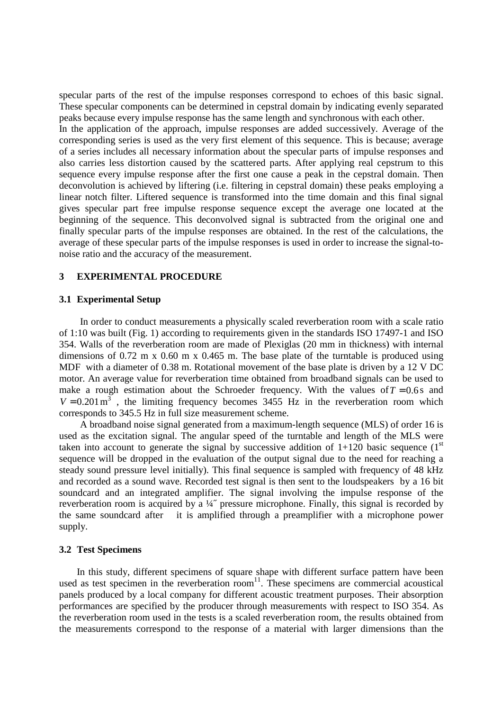specular parts of the rest of the impulse responses correspond to echoes of this basic signal. These specular components can be determined in cepstral domain by indicating evenly separated peaks because every impulse response has the same length and synchronous with each other.

In the application of the approach, impulse responses are added successively. Average of the corresponding series is used as the very first element of this sequence. This is because; average of a series includes all necessary information about the specular parts of impulse responses and also carries less distortion caused by the scattered parts. After applying real cepstrum to this sequence every impulse response after the first one cause a peak in the cepstral domain. Then deconvolution is achieved by liftering (i.e. filtering in cepstral domain) these peaks employing a linear notch filter. Liftered sequence is transformed into the time domain and this final signal gives specular part free impulse response sequence except the average one located at the beginning of the sequence. This deconvolved signal is subtracted from the original one and finally specular parts of the impulse responses are obtained. In the rest of the calculations, the average of these specular parts of the impulse responses is used in order to increase the signal-tonoise ratio and the accuracy of the measurement.

## **3 EXPERIMENTAL PROCEDURE**

# **3.1 Experimental Setup**

 In order to conduct measurements a physically scaled reverberation room with a scale ratio of 1:10 was built (Fig. 1) according to requirements given in the standards ISO 17497-1 and ISO 354. Walls of the reverberation room are made of Plexiglas (20 mm in thickness) with internal dimensions of 0.72 m x 0.60 m x 0.465 m. The base plate of the turntable is produced using MDF with a diameter of 0.38 m. Rotational movement of the base plate is driven by a 12 V DC motor. An average value for reverberation time obtained from broadband signals can be used to make a rough estimation about the Schroeder frequency. With the values of  $T = 0.6$  s and  $V = 0.201 \text{ m}^3$ , the limiting frequency becomes 3455 Hz in the reverberation room which corresponds to 345.5 Hz in full size measurement scheme.

 A broadband noise signal generated from a maximum-length sequence (MLS) of order 16 is used as the excitation signal. The angular speed of the turntable and length of the MLS were taken into account to generate the signal by successive addition of  $1+120$  basic sequence  $(1<sup>st</sup>$ sequence will be dropped in the evaluation of the output signal due to the need for reaching a steady sound pressure level initially). This final sequence is sampled with frequency of 48 kHz and recorded as a sound wave. Recorded test signal is then sent to the loudspeakers by a 16 bit soundcard and an integrated amplifier. The signal involving the impulse response of the reverberation room is acquired by a ¼˝ pressure microphone. Finally, this signal is recorded by the same soundcard after it is amplified through a preamplifier with a microphone power supply.

#### **3.2 Test Specimens**

In this study, different specimens of square shape with different surface pattern have been used as test specimen in the reverberation room<sup>11</sup>. These specimens are commercial acoustical panels produced by a local company for different acoustic treatment purposes. Their absorption performances are specified by the producer through measurements with respect to ISO 354. As the reverberation room used in the tests is a scaled reverberation room, the results obtained from the measurements correspond to the response of a material with larger dimensions than the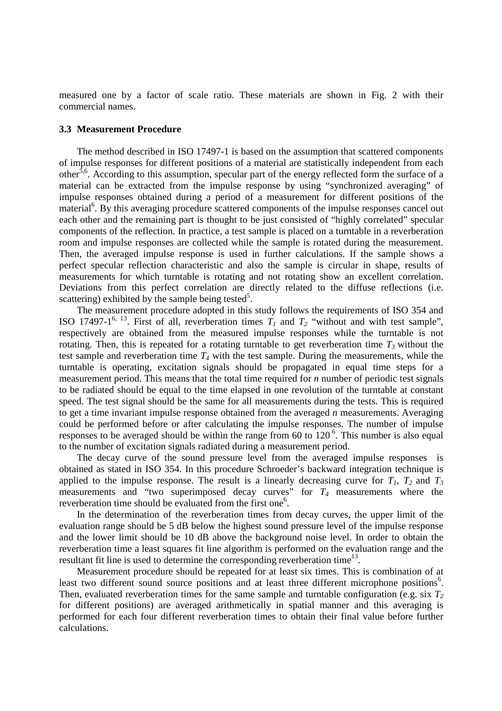measured one by a factor of scale ratio. These materials are shown in Fig. 2 with their commercial names.

# **3.3 Measurement Procedure**

The method described in ISO 17497-1 is based on the assumption that scattered components of impulse responses for different positions of a material are statistically independent from each other<sup>5,6</sup>. According to this assumption, specular part of the energy reflected form the surface of a material can be extracted from the impulse response by using "synchronized averaging" of impulse responses obtained during a period of a measurement for different positions of the material<sup>6</sup>. By this averaging procedure scattered components of the impulse responses cancel out each other and the remaining part is thought to be just consisted of "highly correlated" specular components of the reflection. In practice, a test sample is placed on a turntable in a reverberation room and impulse responses are collected while the sample is rotated during the measurement. Then, the averaged impulse response is used in further calculations. If the sample shows a perfect specular reflection characteristic and also the sample is circular in shape, results of measurements for which turntable is rotating and not rotating show an excellent correlation. Deviations from this perfect correlation are directly related to the diffuse reflections (i.e. scattering) exhibited by the sample being tested<sup>5</sup>.

The measurement procedure adopted in this study follows the requirements of ISO 354 and ISO 17497-1<sup>6, 13</sup>. First of all, reverberation times  $T_I$  and  $T_2$  "without and with test sample", respectively are obtained from the measured impulse responses while the turntable is not rotating. Then, this is repeated for a rotating turntable to get reverberation time  $T_3$  without the test sample and reverberation time  $T_4$  with the test sample. During the measurements, while the turntable is operating, excitation signals should be propagated in equal time steps for a measurement period. This means that the total time required for *n* number of periodic test signals to be radiated should be equal to the time elapsed in one revolution of the turntable at constant speed. The test signal should be the same for all measurements during the tests. This is required to get a time invariant impulse response obtained from the averaged *n* measurements. Averaging could be performed before or after calculating the impulse responses. The number of impulse responses to be averaged should be within the range from 60 to  $120<sup>6</sup>$ . This number is also equal to the number of excitation signals radiated during a measurement period.

The decay curve of the sound pressure level from the averaged impulse responses is obtained as stated in ISO 354. In this procedure Schroeder's backward integration technique is applied to the impulse response. The result is a linearly decreasing curve for  $T_1$ ,  $T_2$  and  $T_3$ measurements and "two superimposed decay curves" for *T4* measurements where the reverberation time should be evaluated from the first one<sup>6</sup>.

In the determination of the reverberation times from decay curves, the upper limit of the evaluation range should be 5 dB below the highest sound pressure level of the impulse response and the lower limit should be 10 dB above the background noise level. In order to obtain the reverberation time a least squares fit line algorithm is performed on the evaluation range and the resultant fit line is used to determine the corresponding reverberation time<sup>13</sup>.

Measurement procedure should be repeated for at least six times. This is combination of at least two different sound source positions and at least three different microphone positions<sup>6</sup>. Then, evaluated reverberation times for the same sample and turntable configuration (e.g. six *T<sup>2</sup>* for different positions) are averaged arithmetically in spatial manner and this averaging is performed for each four different reverberation times to obtain their final value before further calculations.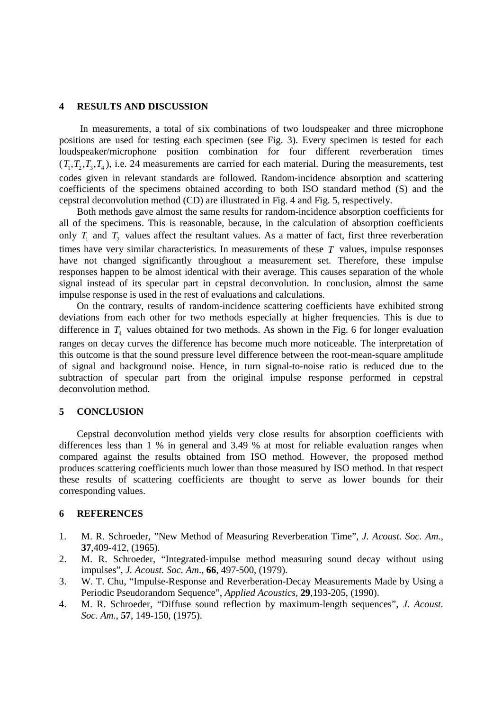#### **4 RESULTS AND DISCUSSION**

 In measurements, a total of six combinations of two loudspeaker and three microphone positions are used for testing each specimen (see Fig. 3). Every specimen is tested for each loudspeaker/microphone position combination for four different reverberation times  $(T_1, T_2, T_3, T_4)$ , i.e. 24 measurements are carried for each material. During the measurements, test codes given in relevant standards are followed. Random-incidence absorption and scattering coefficients of the specimens obtained according to both ISO standard method (S) and the cepstral deconvolution method (CD) are illustrated in Fig. 4 and Fig. 5, respectively.

Both methods gave almost the same results for random-incidence absorption coefficients for all of the specimens. This is reasonable, because, in the calculation of absorption coefficients only  $T_1$  and  $T_2$  values affect the resultant values. As a matter of fact, first three reverberation times have very similar characteristics. In measurements of these *T* values, impulse responses have not changed significantly throughout a measurement set. Therefore, these impulse responses happen to be almost identical with their average. This causes separation of the whole signal instead of its specular part in cepstral deconvolution. In conclusion, almost the same impulse response is used in the rest of evaluations and calculations.

On the contrary, results of random-incidence scattering coefficients have exhibited strong deviations from each other for two methods especially at higher frequencies. This is due to difference in  $T_4$  values obtained for two methods. As shown in the Fig. 6 for longer evaluation ranges on decay curves the difference has become much more noticeable. The interpretation of this outcome is that the sound pressure level difference between the root-mean-square amplitude of signal and background noise. Hence, in turn signal-to-noise ratio is reduced due to the subtraction of specular part from the original impulse response performed in cepstral deconvolution method.

# **5 CONCLUSION**

Cepstral deconvolution method yields very close results for absorption coefficients with differences less than 1 % in general and 3.49 % at most for reliable evaluation ranges when compared against the results obtained from ISO method. However, the proposed method produces scattering coefficients much lower than those measured by ISO method. In that respect these results of scattering coefficients are thought to serve as lower bounds for their corresponding values.

# **6 REFERENCES**

- 1. M. R. Schroeder, "New Method of Measuring Reverberation Time", *J. Acoust. Soc. Am.*, **37**,409-412, (1965).
- 2. M. R. Schroeder, "Integrated-impulse method measuring sound decay without using impulses", *J. Acoust. Soc. Am*., **66**, 497-500, (1979).
- 3. W. T. Chu, "Impulse-Response and Reverberation-Decay Measurements Made by Using a Periodic Pseudorandom Sequence", *Applied Acoustics,* **29**,193-205, (1990).
- 4. M. R. Schroeder, "Diffuse sound reflection by maximum-length sequences", *J. Acoust. Soc. Am.*, **57**, 149-150, (1975).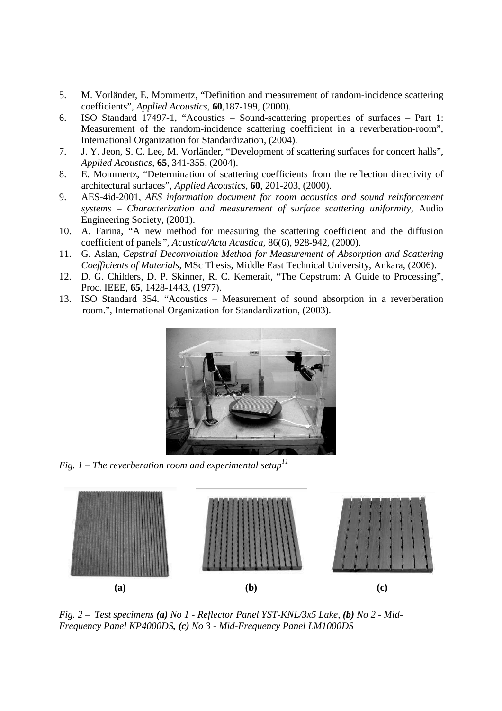- 5. M. Vorländer, E. Mommertz, "Definition and measurement of random-incidence scattering coefficients", *Applied Acoustics*, **60**,187-199, (2000).
- 6. ISO Standard 17497-1, "Acoustics Sound-scattering properties of surfaces Part 1: Measurement of the random-incidence scattering coefficient in a reverberation-room", International Organization for Standardization, (2004).
- 7. J. Y. Jeon, S. C. Lee, M. Vorländer, "Development of scattering surfaces for concert halls", *Applied Acoustics,* **65**, 341-355, (2004).
- 8. E. Mommertz, "Determination of scattering coefficients from the reflection directivity of architectural surfaces", *Applied Acoustics*, **60**, 201-203, (2000).
- 9. AES-4id-2001, *AES information document for room acoustics and sound reinforcement systems – Characterization and measurement of surface scattering uniformity*, Audio Engineering Society, (2001).
- 10. A. Farina, "A new method for measuring the scattering coefficient and the diffusion coefficient of panels*", Acustica/Acta Acustica,* 86(6), 928-942, (2000).
- 11. G. Aslan, *Cepstral Deconvolution Method for Measurement of Absorption and Scattering Coefficients of Materials*, MSc Thesis, Middle East Technical University, Ankara, (2006).
- 12. D. G. Childers, D. P. Skinner, R. C. Kemerait, "The Cepstrum: A Guide to Processing", Proc. IEEE, **65**, 1428-1443, (1977).
- 13. ISO Standard 354. "Acoustics Measurement of sound absorption in a reverberation room.", International Organization for Standardization, (2003).



Fig. 1 – The reverberation room and experimental setup<sup>11</sup>



*Fig. 2 – Test specimens (a) No 1 - Reflector Panel YST-KNL/3x5 Lake, (b) No 2 - Mid-Frequency Panel KP4000DS, (c) No 3 - Mid-Frequency Panel LM1000DS*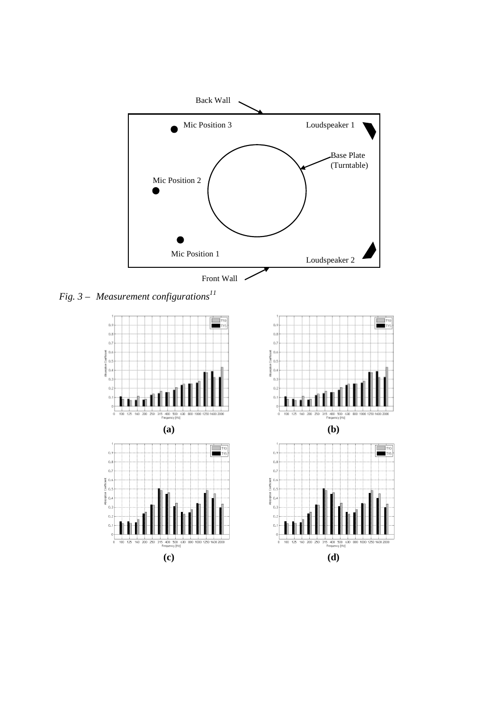

*Fig. 3 – Measurement configurations<sup>11</sup>* 

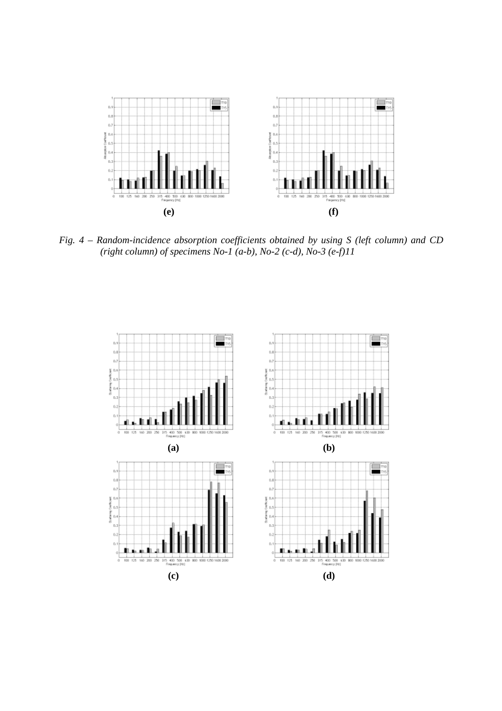

*Fig. 4 – Random-incidence absorption coefficients obtained by using S (left column) and CD (right column) of specimens No-1 (a-b), No-2 (c-d), No-3 (e-f)11*